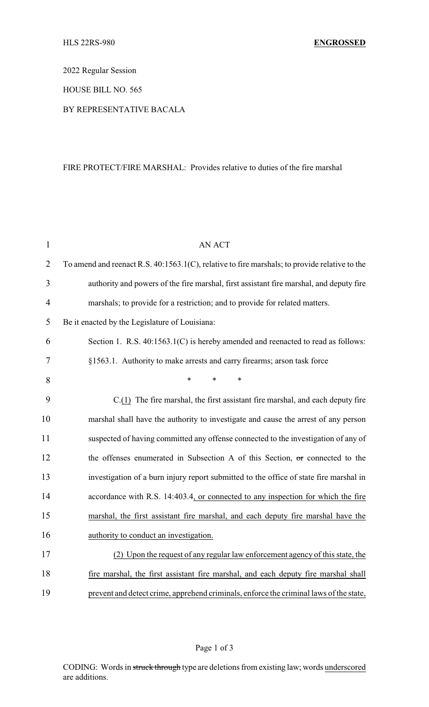2022 Regular Session

HOUSE BILL NO. 565

## BY REPRESENTATIVE BACALA

## FIRE PROTECT/FIRE MARSHAL: Provides relative to duties of the fire marshal

| $\mathbf{1}$   | <b>AN ACT</b>                                                                                 |
|----------------|-----------------------------------------------------------------------------------------------|
| $\overline{2}$ | To amend and reenact R.S. 40:1563.1(C), relative to fire marshals; to provide relative to the |
| 3              | authority and powers of the fire marshal, first assistant fire marshal, and deputy fire       |
| 4              | marshals; to provide for a restriction; and to provide for related matters.                   |
| 5              | Be it enacted by the Legislature of Louisiana:                                                |
| 6              | Section 1. R.S. 40:1563.1(C) is hereby amended and reenacted to read as follows:              |
| 7              | §1563.1. Authority to make arrests and carry firearms; arson task force                       |
| 8              | $\ast$<br>*<br>*                                                                              |
| 9              | $C(1)$ The fire marshal, the first assistant fire marshal, and each deputy fire               |
| 10             | marshal shall have the authority to investigate and cause the arrest of any person            |
| 11             | suspected of having committed any offense connected to the investigation of any of            |
| 12             | the offenses enumerated in Subsection A of this Section, or connected to the                  |
| 13             | investigation of a burn injury report submitted to the office of state fire marshal in        |
| 14             | accordance with R.S. 14:403.4, or connected to any inspection for which the fire              |
| 15             | marshal, the first assistant fire marshal, and each deputy fire marshal have the              |
| 16             | authority to conduct an investigation.                                                        |
| 17             | (2) Upon the request of any regular law enforcement agency of this state, the                 |
| 18             | fire marshal, the first assistant fire marshal, and each deputy fire marshal shall            |
| 19             | prevent and detect crime, apprehend criminals, enforce the criminal laws of the state,        |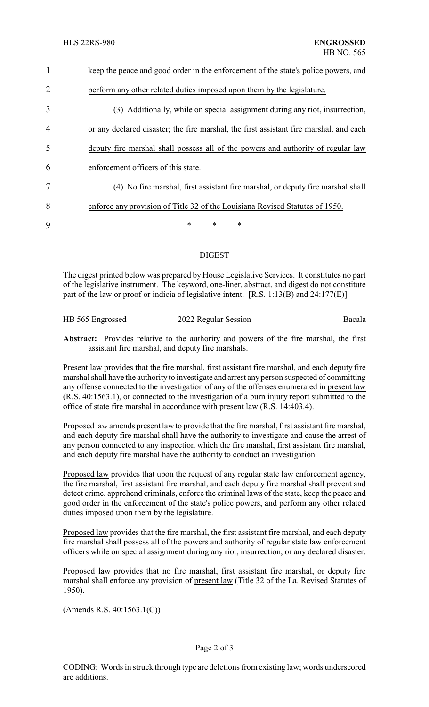| $\mathbf{1}$   | keep the peace and good order in the enforcement of the state's police powers, and     |
|----------------|----------------------------------------------------------------------------------------|
| $\overline{2}$ | perform any other related duties imposed upon them by the legislature.                 |
| 3              | (3) Additionally, while on special assignment during any riot, insurrection,           |
| $\overline{4}$ | or any declared disaster; the fire marshal, the first assistant fire marshal, and each |
| 5              | deputy fire marshal shall possess all of the powers and authority of regular law       |
| 6              | enforcement officers of this state.                                                    |
| 7              | No fire marshal, first assistant fire marshal, or deputy fire marshal shall<br>(4)     |
| 8              | enforce any provision of Title 32 of the Louisiana Revised Statutes of 1950.           |
| 9              | $\ast$<br>$\ast$<br>$\ast$                                                             |
|                |                                                                                        |

## DIGEST

The digest printed below was prepared by House Legislative Services. It constitutes no part of the legislative instrument. The keyword, one-liner, abstract, and digest do not constitute part of the law or proof or indicia of legislative intent.  $[R.S. 1:13(B)$  and  $24:177(E)]$ 

| HB 565 Engrossed | 2022 Regular Session | Bacala |
|------------------|----------------------|--------|
|                  |                      |        |

**Abstract:** Provides relative to the authority and powers of the fire marshal, the first assistant fire marshal, and deputy fire marshals.

Present law provides that the fire marshal, first assistant fire marshal, and each deputy fire marshal shall have the authority to investigate and arrest any person suspected of committing any offense connected to the investigation of any of the offenses enumerated in present law (R.S. 40:1563.1), or connected to the investigation of a burn injury report submitted to the office of state fire marshal in accordance with present law (R.S. 14:403.4).

Proposed law amends present law to provide that the fire marshal, first assistant fire marshal, and each deputy fire marshal shall have the authority to investigate and cause the arrest of any person connected to any inspection which the fire marshal, first assistant fire marshal, and each deputy fire marshal have the authority to conduct an investigation.

Proposed law provides that upon the request of any regular state law enforcement agency, the fire marshal, first assistant fire marshal, and each deputy fire marshal shall prevent and detect crime, apprehend criminals, enforce the criminal laws of the state, keep the peace and good order in the enforcement of the state's police powers, and perform any other related duties imposed upon them by the legislature.

Proposed law provides that the fire marshal, the first assistant fire marshal, and each deputy fire marshal shall possess all of the powers and authority of regular state law enforcement officers while on special assignment during any riot, insurrection, or any declared disaster.

Proposed law provides that no fire marshal, first assistant fire marshal, or deputy fire marshal shall enforce any provision of present law (Title 32 of the La. Revised Statutes of 1950).

(Amends R.S. 40:1563.1(C))